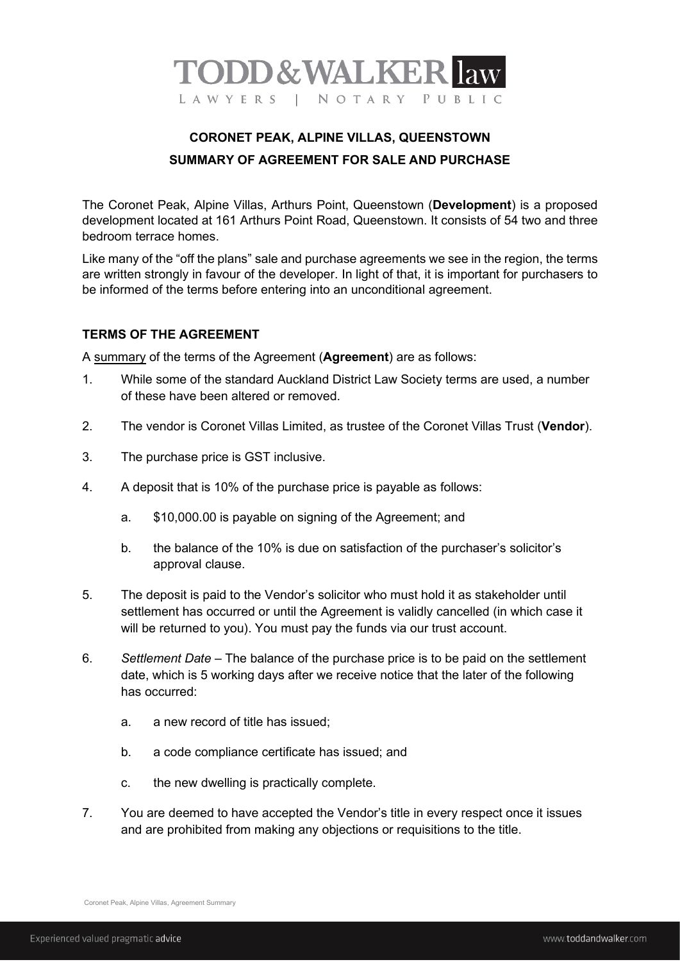

## **CORONET PEAK, ALPINE VILLAS, QUEENSTOWN SUMMARY OF AGREEMENT FOR SALE AND PURCHASE**

The Coronet Peak, Alpine Villas, Arthurs Point, Queenstown (**Development**) is a proposed development located at 161 Arthurs Point Road, Queenstown. It consists of 54 two and three bedroom terrace homes.

Like many of the "off the plans" sale and purchase agreements we see in the region, the terms are written strongly in favour of the developer. In light of that, it is important for purchasers to be informed of the terms before entering into an unconditional agreement.

## **TERMS OF THE AGREEMENT**

A summary of the terms of the Agreement (**Agreement**) are as follows:

- 1. While some of the standard Auckland District Law Society terms are used, a number of these have been altered or removed.
- 2. The vendor is Coronet Villas Limited, as trustee of the Coronet Villas Trust (**Vendor**).
- 3. The purchase price is GST inclusive.
- 4. A deposit that is 10% of the purchase price is payable as follows:
	- a. \$10,000.00 is payable on signing of the Agreement; and
	- b. the balance of the 10% is due on satisfaction of the purchaser's solicitor's approval clause.
- 5. The deposit is paid to the Vendor's solicitor who must hold it as stakeholder until settlement has occurred or until the Agreement is validly cancelled (in which case it will be returned to you). You must pay the funds via our trust account.
- 6. *Settlement Date* The balance of the purchase price is to be paid on the settlement date, which is 5 working days after we receive notice that the later of the following has occurred:
	- a. a new record of title has issued;
	- b. a code compliance certificate has issued; and
	- c. the new dwelling is practically complete.
- 7. You are deemed to have accepted the Vendor's title in every respect once it issues and are prohibited from making any objections or requisitions to the title.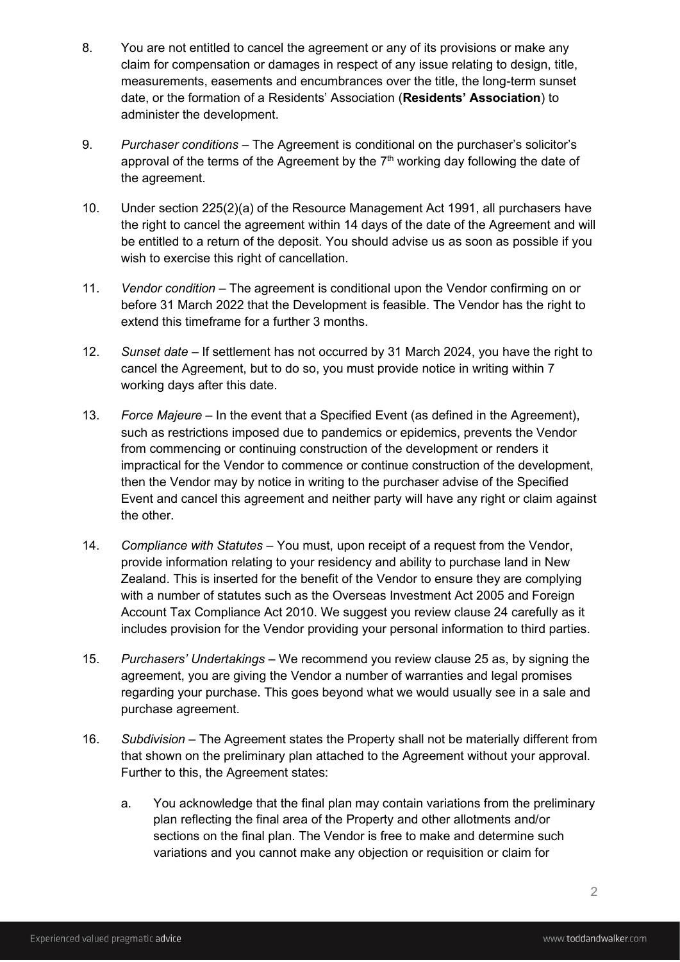- 8. You are not entitled to cancel the agreement or any of its provisions or make any claim for compensation or damages in respect of any issue relating to design, title, measurements, easements and encumbrances over the title, the long-term sunset date, or the formation of a Residents' Association (**Residents' Association**) to administer the development.
- 9. *Purchaser conditions*  The Agreement is conditional on the purchaser's solicitor's approval of the terms of the Agreement by the  $7<sup>th</sup>$  working day following the date of the agreement.
- 10. Under section 225(2)(a) of the Resource Management Act 1991, all purchasers have the right to cancel the agreement within 14 days of the date of the Agreement and will be entitled to a return of the deposit. You should advise us as soon as possible if you wish to exercise this right of cancellation.
- 11. *Vendor condition* The agreement is conditional upon the Vendor confirming on or before 31 March 2022 that the Development is feasible. The Vendor has the right to extend this timeframe for a further 3 months.
- 12. *Sunset date* If settlement has not occurred by 31 March 2024, you have the right to cancel the Agreement, but to do so, you must provide notice in writing within 7 working days after this date.
- 13. *Force Majeure* In the event that a Specified Event (as defined in the Agreement), such as restrictions imposed due to pandemics or epidemics, prevents the Vendor from commencing or continuing construction of the development or renders it impractical for the Vendor to commence or continue construction of the development, then the Vendor may by notice in writing to the purchaser advise of the Specified Event and cancel this agreement and neither party will have any right or claim against the other.
- 14. *Compliance with Statutes* You must, upon receipt of a request from the Vendor, provide information relating to your residency and ability to purchase land in New Zealand. This is inserted for the benefit of the Vendor to ensure they are complying with a number of statutes such as the Overseas Investment Act 2005 and Foreign Account Tax Compliance Act 2010. We suggest you review clause 24 carefully as it includes provision for the Vendor providing your personal information to third parties.
- 15. *Purchasers' Undertakings* We recommend you review clause 25 as, by signing the agreement, you are giving the Vendor a number of warranties and legal promises regarding your purchase. This goes beyond what we would usually see in a sale and purchase agreement.
- 16. *Subdivision* The Agreement states the Property shall not be materially different from that shown on the preliminary plan attached to the Agreement without your approval. Further to this, the Agreement states:
	- a. You acknowledge that the final plan may contain variations from the preliminary plan reflecting the final area of the Property and other allotments and/or sections on the final plan. The Vendor is free to make and determine such variations and you cannot make any objection or requisition or claim for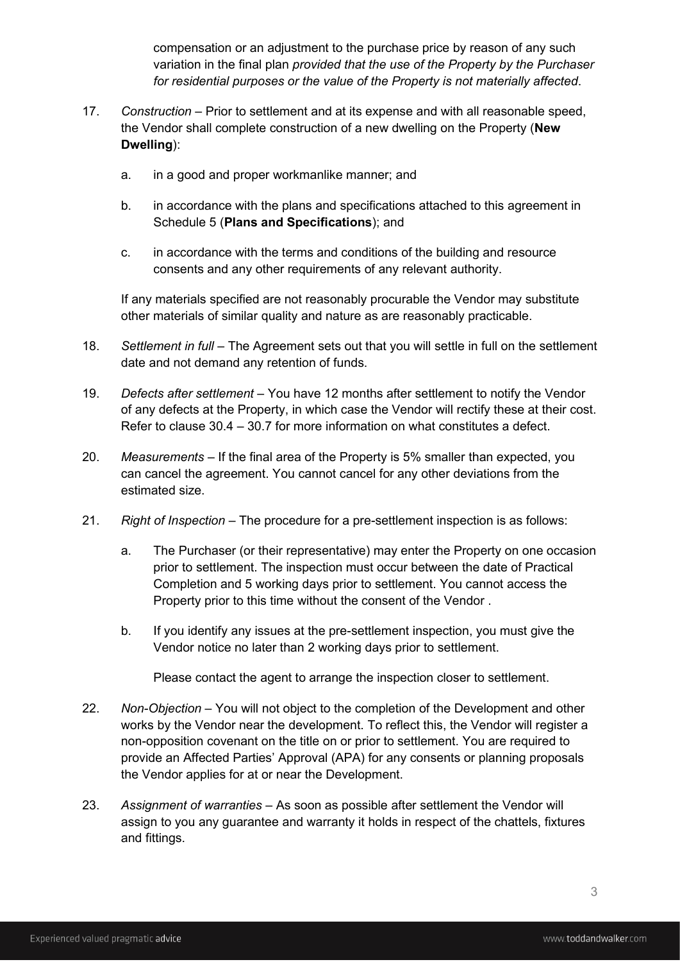compensation or an adjustment to the purchase price by reason of any such variation in the final plan *provided that the use of the Property by the Purchaser for residential purposes or the value of the Property is not materially affected*.

- 17. *Construction* Prior to settlement and at its expense and with all reasonable speed, the Vendor shall complete construction of a new dwelling on the Property (**New Dwelling**):
	- a. in a good and proper workmanlike manner; and
	- b. in accordance with the plans and specifications attached to this agreement in Schedule 5 (**Plans and Specifications**); and
	- c. in accordance with the terms and conditions of the building and resource consents and any other requirements of any relevant authority.

If any materials specified are not reasonably procurable the Vendor may substitute other materials of similar quality and nature as are reasonably practicable.

- 18. *Settlement in full* The Agreement sets out that you will settle in full on the settlement date and not demand any retention of funds.
- 19. *Defects after settlement* You have 12 months after settlement to notify the Vendor of any defects at the Property, in which case the Vendor will rectify these at their cost. Refer to clause 30.4 – 30.7 for more information on what constitutes a defect.
- 20. *Measurements* If the final area of the Property is 5% smaller than expected, you can cancel the agreement. You cannot cancel for any other deviations from the estimated size.
- 21. *Right of Inspection* The procedure for a pre-settlement inspection is as follows:
	- a. The Purchaser (or their representative) may enter the Property on one occasion prior to settlement. The inspection must occur between the date of Practical Completion and 5 working days prior to settlement. You cannot access the Property prior to this time without the consent of the Vendor .
	- b. If you identify any issues at the pre-settlement inspection, you must give the Vendor notice no later than 2 working days prior to settlement.

Please contact the agent to arrange the inspection closer to settlement.

- 22. *Non-Objection* You will not object to the completion of the Development and other works by the Vendor near the development. To reflect this, the Vendor will register a non-opposition covenant on the title on or prior to settlement. You are required to provide an Affected Parties' Approval (APA) for any consents or planning proposals the Vendor applies for at or near the Development.
- 23. *Assignment of warranties* As soon as possible after settlement the Vendor will assign to you any guarantee and warranty it holds in respect of the chattels, fixtures and fittings.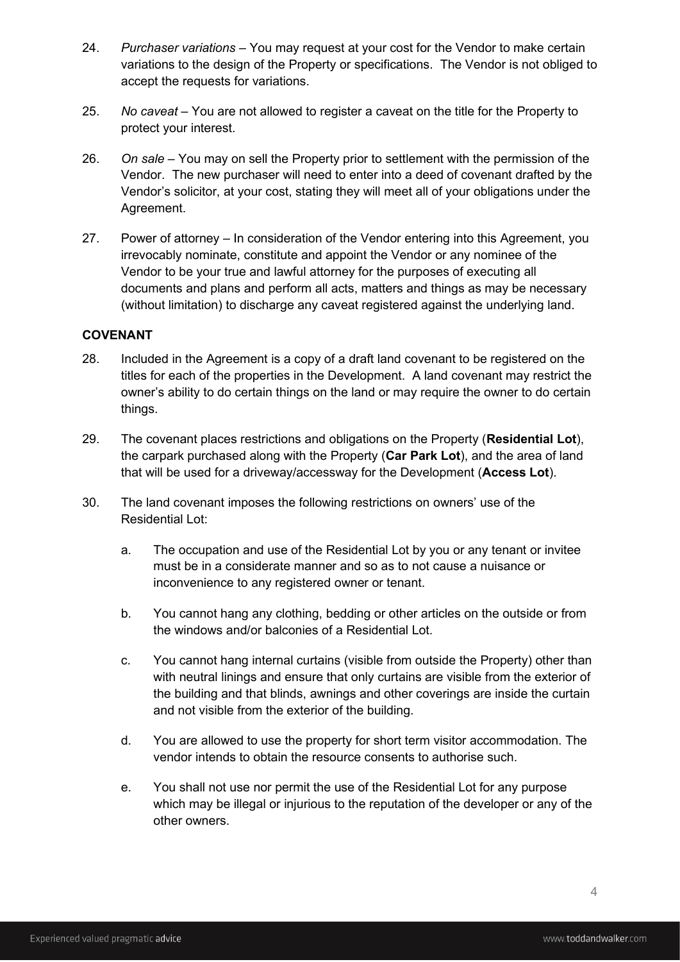- 24. *Purchaser variations* You may request at your cost for the Vendor to make certain variations to the design of the Property or specifications. The Vendor is not obliged to accept the requests for variations.
- 25. *No caveat*  You are not allowed to register a caveat on the title for the Property to protect your interest.
- 26. *On sale* You may on sell the Property prior to settlement with the permission of the Vendor. The new purchaser will need to enter into a deed of covenant drafted by the Vendor's solicitor, at your cost, stating they will meet all of your obligations under the Agreement.
- 27. Power of attorney In consideration of the Vendor entering into this Agreement, you irrevocably nominate, constitute and appoint the Vendor or any nominee of the Vendor to be your true and lawful attorney for the purposes of executing all documents and plans and perform all acts, matters and things as may be necessary (without limitation) to discharge any caveat registered against the underlying land.

## **COVENANT**

- 28. Included in the Agreement is a copy of a draft land covenant to be registered on the titles for each of the properties in the Development. A land covenant may restrict the owner's ability to do certain things on the land or may require the owner to do certain things.
- 29. The covenant places restrictions and obligations on the Property (**Residential Lot**), the carpark purchased along with the Property (**Car Park Lot**), and the area of land that will be used for a driveway/accessway for the Development (**Access Lot**).
- 30. The land covenant imposes the following restrictions on owners' use of the Residential Lot:
	- a. The occupation and use of the Residential Lot by you or any tenant or invitee must be in a considerate manner and so as to not cause a nuisance or inconvenience to any registered owner or tenant.
	- b. You cannot hang any clothing, bedding or other articles on the outside or from the windows and/or balconies of a Residential Lot.
	- c. You cannot hang internal curtains (visible from outside the Property) other than with neutral linings and ensure that only curtains are visible from the exterior of the building and that blinds, awnings and other coverings are inside the curtain and not visible from the exterior of the building.
	- d. You are allowed to use the property for short term visitor accommodation. The vendor intends to obtain the resource consents to authorise such.
	- e. You shall not use nor permit the use of the Residential Lot for any purpose which may be illegal or injurious to the reputation of the developer or any of the other owners.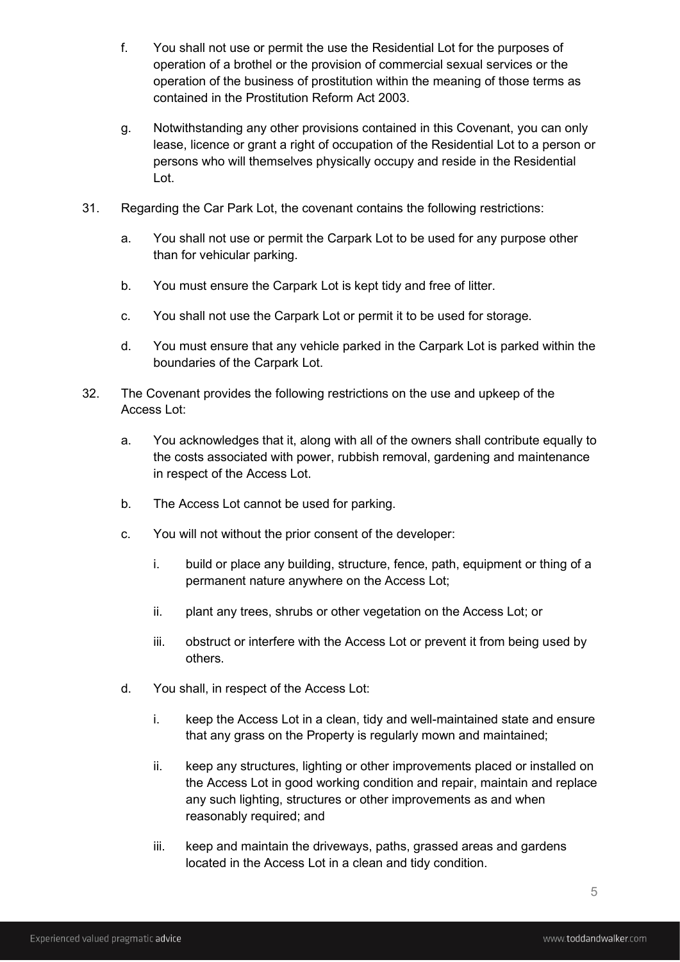- f. You shall not use or permit the use the Residential Lot for the purposes of operation of a brothel or the provision of commercial sexual services or the operation of the business of prostitution within the meaning of those terms as contained in the Prostitution Reform Act 2003.
- g. Notwithstanding any other provisions contained in this Covenant, you can only lease, licence or grant a right of occupation of the Residential Lot to a person or persons who will themselves physically occupy and reside in the Residential Lot.
- 31. Regarding the Car Park Lot, the covenant contains the following restrictions:
	- a. You shall not use or permit the Carpark Lot to be used for any purpose other than for vehicular parking.
	- b. You must ensure the Carpark Lot is kept tidy and free of litter.
	- c. You shall not use the Carpark Lot or permit it to be used for storage.
	- d. You must ensure that any vehicle parked in the Carpark Lot is parked within the boundaries of the Carpark Lot.
- 32. The Covenant provides the following restrictions on the use and upkeep of the Access Lot:
	- a. You acknowledges that it, along with all of the owners shall contribute equally to the costs associated with power, rubbish removal, gardening and maintenance in respect of the Access Lot.
	- b. The Access Lot cannot be used for parking.
	- c. You will not without the prior consent of the developer:
		- i. build or place any building, structure, fence, path, equipment or thing of a permanent nature anywhere on the Access Lot;
		- ii. plant any trees, shrubs or other vegetation on the Access Lot; or
		- iii. obstruct or interfere with the Access Lot or prevent it from being used by others.
	- d. You shall, in respect of the Access Lot:
		- i. keep the Access Lot in a clean, tidy and well-maintained state and ensure that any grass on the Property is regularly mown and maintained;
		- ii. keep any structures, lighting or other improvements placed or installed on the Access Lot in good working condition and repair, maintain and replace any such lighting, structures or other improvements as and when reasonably required; and
		- iii. keep and maintain the driveways, paths, grassed areas and gardens located in the Access Lot in a clean and tidy condition.